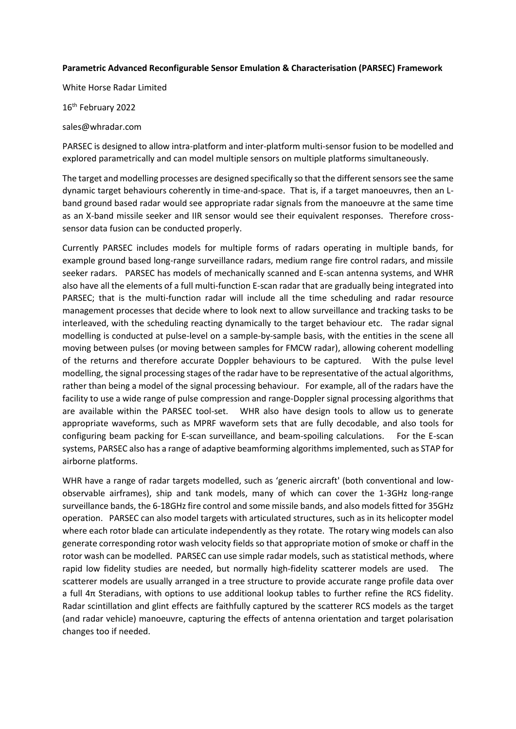## **Parametric Advanced Reconfigurable Sensor Emulation & Characterisation (PARSEC) Framework**

White Horse Radar Limited

16<sup>th</sup> February 2022

sales@whradar.com

PARSEC is designed to allow intra-platform and inter-platform multi-sensor fusion to be modelled and explored parametrically and can model multiple sensors on multiple platforms simultaneously.

The target and modelling processes are designed specifically so that the different sensors see the same dynamic target behaviours coherently in time-and-space. That is, if a target manoeuvres, then an Lband ground based radar would see appropriate radar signals from the manoeuvre at the same time as an X-band missile seeker and IIR sensor would see their equivalent responses. Therefore crosssensor data fusion can be conducted properly.

Currently PARSEC includes models for multiple forms of radars operating in multiple bands, for example ground based long-range surveillance radars, medium range fire control radars, and missile seeker radars. PARSEC has models of mechanically scanned and E-scan antenna systems, and WHR also have all the elements of a full multi-function E-scan radar that are gradually being integrated into PARSEC; that is the multi-function radar will include all the time scheduling and radar resource management processes that decide where to look next to allow surveillance and tracking tasks to be interleaved, with the scheduling reacting dynamically to the target behaviour etc. The radar signal modelling is conducted at pulse-level on a sample-by-sample basis, with the entities in the scene all moving between pulses (or moving between samples for FMCW radar), allowing coherent modelling of the returns and therefore accurate Doppler behaviours to be captured. With the pulse level modelling, the signal processing stages of the radar have to be representative of the actual algorithms, rather than being a model of the signal processing behaviour. For example, all of the radars have the facility to use a wide range of pulse compression and range-Doppler signal processing algorithms that are available within the PARSEC tool-set. WHR also have design tools to allow us to generate appropriate waveforms, such as MPRF waveform sets that are fully decodable, and also tools for configuring beam packing for E-scan surveillance, and beam-spoiling calculations. For the E-scan systems, PARSEC also has a range of adaptive beamforming algorithms implemented, such as STAP for airborne platforms.

WHR have a range of radar targets modelled, such as 'generic aircraft' (both conventional and lowobservable airframes), ship and tank models, many of which can cover the 1-3GHz long-range surveillance bands, the 6-18GHz fire control and some missile bands, and also models fitted for 35GHz operation. PARSEC can also model targets with articulated structures, such as in its helicopter model where each rotor blade can articulate independently as they rotate. The rotary wing models can also generate corresponding rotor wash velocity fields so that appropriate motion of smoke or chaff in the rotor wash can be modelled. PARSEC can use simple radar models, such as statistical methods, where rapid low fidelity studies are needed, but normally high-fidelity scatterer models are used. The scatterer models are usually arranged in a tree structure to provide accurate range profile data over a full 4π Steradians, with options to use additional lookup tables to further refine the RCS fidelity. Radar scintillation and glint effects are faithfully captured by the scatterer RCS models as the target (and radar vehicle) manoeuvre, capturing the effects of antenna orientation and target polarisation changes too if needed.